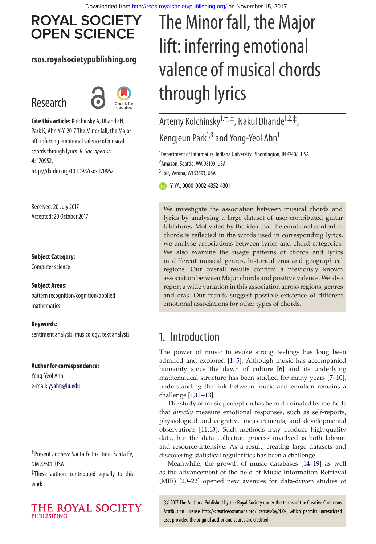# **ROYAL SOCIETY OPEN SCIENCE**

## **rsos.royalsocietypublishing.org**

# Research



**Cite this article:** Kolchinsky A, Dhande N, Park K, Ahn Y-Y. 2017 The Minor fall, the Major lift: inferring emotional valence of musical chords through lyrics. R. Soc. open sci. **4**: 170952. http://dx.doi.org/10.1098/rsos.170952

Received: 20 July 2017 Accepted: 20 October 2017

### **Subject Category:**

Computer science

#### **Subject Areas:**

pattern recognition/cognition/applied mathematics

### **Keywords:**

sentiment analysis, musicology, text analysis

#### **Author for correspondence:**

Yong-Yeol Ahn e-mail: [yyahn@iu.edu](mailto:yyahn@iu.edu)

†Present address: Santa Fe Institute, Santa Fe, NM 87501, USA

‡These authors contributed equally to this work.



# The Minor fall, the Major lift: inferring emotional valence of musical chords through lyrics

# Artemy Kolchinsky1,†,‡, Nakul Dhande1,2,‡, Kengjeun Park<sup>1,3</sup> and Yong-Yeol Ahn<sup>1</sup>

<sup>1</sup>Department of Informatics, Indiana University, Bloomington, IN 47408, USA <sup>2</sup> Amazon, Seattle, WA 98109, USA <sup>3</sup> Epic, Verona, WI 53593, USA

Y-YA,[0000-0002-4352-4301](http://orcid.org/0000-0002-4352-4301)

We investigate the association between musical chords and lyrics by analysing a large dataset of user-contributed guitar tablatures. Motivated by the idea that the emotional content of chords is reflected in the words used in corresponding lyrics, we analyse associations between lyrics and chord categories. We also examine the usage patterns of chords and lyrics in different musical genres, historical eras and geographical regions. Our overall results confirm a previously known association between Major chords and positive valence. We also report a wide variation in this association across regions, genres and eras. Our results suggest possible existence of different emotional associations for other types of chords.

# 1. Introduction

The power of music to evoke strong feelings has long been admired and explored [\[1–](#page-9-0)[5\]](#page-9-1). Although music has accompanied humanity since the dawn of culture [\[6\]](#page-9-2) and its underlying mathematical structure has been studied for many years [\[7–](#page-9-3)[10\]](#page-9-4), understanding the link between music and emotion remains a challenge [\[1,](#page-9-0)[11](#page-9-5)[–13\]](#page-9-6).

The study of music perception has been dominated by methods that *directly* measure emotional responses, such as self-reports, physiological and cognitive measurements, and developmental observations [\[11](#page-9-5)[,13\]](#page-9-6). Such methods may produce high-quality data, but the data collection process involved is both labourand resource-intensive. As a result, creating large datasets and discovering statistical regularities has been a challenge.

Meanwhile, the growth of music databases [\[14–](#page-9-7)[19\]](#page-9-8) as well as the advancement of the field of Music Information Retrieval (MIR) [\[20](#page-9-9)[–22\]](#page-9-10) opened new avenues for data-driven studies of

2017 The Authors. Published by the Royal Society under the terms of the Creative Commons Attribution License http://creativecommons.org/licenses/by/4.0/, which permits unrestricted use, provided the original author and source are credited.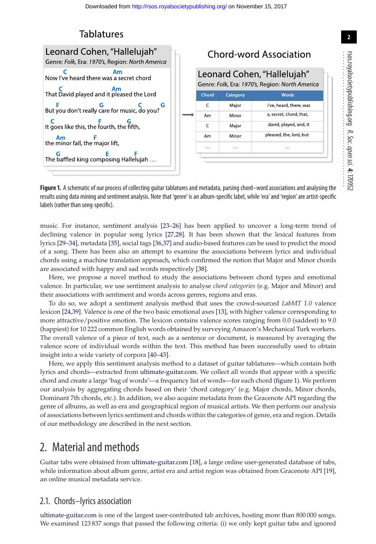# **Tablatures**

<span id="page-1-0"></span>

**Figure 1.** A schematic of our process of collecting guitar tablatures and metadata, parsing chord–word associations and analysing the results using data mining and sentiment analysis. Note that 'genre' is an album-specific label, while 'era' and 'region' are artist-specific labels (rather than song-specific).

music. For instance, sentiment analysis [\[23–](#page-9-11)[26\]](#page-9-12) has been applied to uncover a long-term trend of declining valence in popular song lyrics [\[27](#page-9-13)[,28\]](#page-9-14). It has been shown that the lexical features from lyrics [\[29–](#page-9-15)[34\]](#page-9-16), metadata [\[35\]](#page-9-17), social tags [\[36,](#page-9-18)[37\]](#page-9-19) and audio-based features can be used to predict the mood of a song. There has been also an attempt to examine the associations between lyrics and individual chords using a machine translation approach, which confirmed the notion that Major and Minor chords are associated with happy and sad words respectively [\[38\]](#page-9-20).

Here, we propose a novel method to study the associations between chord types and emotional valence. In particular, we use sentiment analysis to analyse *chord categories* (e.g. Major and Minor) and their associations with sentiment and words across genres, regions and eras.

To do so, we adopt a sentiment analysis method that uses the crowd-sourced *LabMT 1.0* valence lexicon [\[24](#page-9-21)[,39\]](#page-9-22). Valence is one of the two basic emotional axes [\[13\]](#page-9-6), with higher valence corresponding to more attractive/positive emotion. The lexicon contains valence scores ranging from 0.0 (saddest) to 9.0 (happiest) for 10 222 common English words obtained by surveying Amazon's Mechanical Turk workers. The overall valence of a piece of text, such as a sentence or document, is measured by averaging the valence score of individual words within the text. This method has been successfully used to obtain insight into a wide variety of corpora [\[40](#page-9-23)[–43\]](#page-9-24).

Here, we apply this sentiment analysis method to a dataset of guitar tablatures—which contain both lyrics and chords—extracted from [ultimate-guitar.com.](http://ultimate-guitar.com) We collect all words that appear with a specific chord and create a large 'bag of words'—a frequency list of words—for each chord [\(figure 1\)](#page-1-0). We perform our analysis by aggregating chords based on their 'chord category' (e.g. Major chords, Minor chords, Dominant 7th chords, etc.). In addition, we also acquire metadata from the Gracenote API regarding the genre of albums, as well as era and geographical region of musical artists. We then perform our analysis of associations between lyrics sentiment and chords within the categories of genre, era and region. Details of our methodology are described in the next section.

# 2. Material and methods

Guitar tabs were obtained from [ultimate-guitar.com](http://ultimate-guitar.com) [\[18\]](#page-9-25), a large online user-generated database of tabs, while information about album genre, artist era and artist region was obtained from Gracenote API [\[19\]](#page-9-8), an online musical metadata service.

## 2.1. Chords–lyrics association

[ultimate-guitar.com](http://ultimate-guitar.com) is one of the largest user-contributed tab archives, hosting more than 800 000 songs. We examined 123 837 songs that passed the following criteria: (i) we only kept guitar tabs and ignored

R. Soc.

................................................

open

sci. **4**: 170952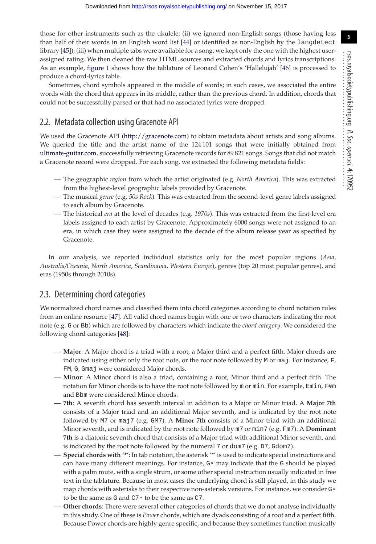those for other instruments such as the ukulele; (ii) we ignored non-English songs (those having less than half of their words in an English word list [\[44\]](#page-9-26) or identified as non-English by the langdetect library [\[45\]](#page-9-27)); (iii) when multiple tabs were available for a song, we kept only the one with the highest userassigned rating. We then cleaned the raw HTML sources and extracted chords and lyrics transcriptions. As an example, [figure 1](#page-1-0) shows how the tablature of Leonard Cohen's 'Hallelujah' [\[46\]](#page-10-0) is processed to produce a chord-lyrics table.

Sometimes, chord symbols appeared in the middle of words; in such cases, we associated the entire words with the chord that appears in its middle, rather than the previous chord. In addition, chords that could not be successfully parsed or that had no associated lyrics were dropped.

# 2.2. Metadata collection using Gracenote API

We used the Gracenote API [\(http://gracenote.com\)](http://gracenote.com) to obtain metadata about artists and song albums. We queried the title and the artist name of the 124 101 songs that were initially obtained from [ultimate-guitar.com,](http://ultimate-guitar.com) successfully retrieving Gracenote records for 89 821 songs. Songs that did not match a Gracenote record were dropped. For each song, we extracted the following metadata fields:

- The geographic *region* from which the artist originated (e.g. *North America*). This was extracted from the highest-level geographic labels provided by Gracenote.
- The musical *genre* (e.g. *50s Rock*). This was extracted from the second-level genre labels assigned to each album by Gracenote.
- The historical *era* at the level of decades (e.g. *1970s*). This was extracted from the first-level era labels assigned to each artist by Gracenote. Approximately 6000 songs were not assigned to an era, in which case they were assigned to the decade of the album release year as specified by Gracenote.

In our analysis, we reported individual statistics only for the most popular regions (*Asia*, *Australia/Oceania*, *North America*, *Scandinavia*, *Western Europe*), genres (top 20 most popular genres), and eras (1950s through 2010s).

# 2.3. Determining chord categories

We normalized chord names and classified them into chord categories according to chord notation rules from an online resource [\[47\]](#page-10-1). All valid chord names begin with one or two characters indicating the root note (e.g. G or Bb) which are followed by characters which indicate the *chord category*. We considered the following chord categories [\[48\]](#page-10-2):

- **Major**: A Major chord is a triad with a root, a Major third and a perfect fifth. Major chords are indicated using either only the root note, or the root note followed by M or maj. For instance,  $F$ , FM, G, Gmaj were considered Major chords.
- **Minor**: A Minor chord is also a triad, containing a root, Minor third and a perfect fifth. The notation for Minor chords is to have the root note followed by m or min. For example, Emin, F#m and Bbm were considered Minor chords.
- **7th**: A seventh chord has seventh interval in addition to a Major or Minor triad. A **Major 7th** consists of a Major triad and an additional Major seventh, and is indicated by the root note followed by M7 or maj7 (e.g. GM7). A **Minor 7th** consists of a Minor triad with an additional Minor seventh, and is indicated by the root note followed by m7 or min7 (e.g. Fm7). A **Dominant 7th** is a diatonic seventh chord that consists of a Major triad with additional Minor seventh, and is indicated by the root note followed by the numeral 7 or dom7 (e.g. D7, Gdom7).
- **Special chords with '\*'**: In tab notation, the asterisk '\*' is used to indicate special instructions and can have many different meanings. For instance,  $G*$  may indicate that the  $G$  should be played with a palm mute, with a single strum, or some other special instruction usually indicated in free text in the tablature. Because in most cases the underlying chord is still played, in this study we map chords with asterisks to their respective non-asterisk versions. For instance, we consider G\* to be the same as G and  $C7*$  to be the same as C7.
- **Other chords**: There were several other categories of chords that we do not analyse individually in this study. One of these is *Power* chords, which are dyads consisting of a root and a perfect fifth. Because Power chords are highly genre specific, and because they sometimes function musically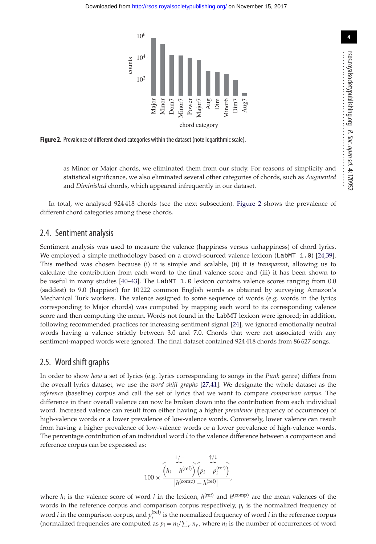<span id="page-3-0"></span>

**Figure 2.** Prevalence of different chord categories within the dataset (note logarithmic scale).

as Minor or Major chords, we eliminated them from our study. For reasons of simplicity and statistical significance, we also eliminated several other categories of chords, such as *Augmented* and *Diminished* chords, which appeared infrequently in our dataset.

In total, we analysed 924 418 chords (see the next subsection). [Figure 2](#page-3-0) shows the prevalence of different chord categories among these chords.

### 2.4. Sentiment analysis

Sentiment analysis was used to measure the valence (happiness versus unhappiness) of chord lyrics. We employed a simple methodology based on a crowd-sourced valence lexicon (LabMT 1.0) [\[24](#page-9-21)[,39\]](#page-9-22). This method was chosen because (i) it is simple and scalable, (ii) it is *transparent*, allowing us to calculate the contribution from each word to the final valence score and (iii) it has been shown to be useful in many studies [\[40](#page-9-23)[–43\]](#page-9-24). The LabMT 1.0 lexicon contains valence scores ranging from 0.0 (saddest) to 9.0 (happiest) for 10 222 common English words as obtained by surveying Amazon's Mechanical Turk workers. The valence assigned to some sequence of words (e.g. words in the lyrics corresponding to Major chords) was computed by mapping each word to its corresponding valence score and then computing the mean. Words not found in the LabMT lexicon were ignored; in addition, following recommended practices for increasing sentiment signal [\[24\]](#page-9-21), we ignored emotionally neutral words having a valence strictly between 3.0 and 7.0. Chords that were not associated with any sentiment-mapped words were ignored. The final dataset contained 924 418 chords from 86 627 songs.

#### 2.5. Word shift graphs

In order to show *how* a set of lyrics (e.g. lyrics corresponding to songs in the *Punk* genre) differs from the overall lyrics dataset, we use the *word shift graphs* [\[27](#page-9-13)[,41\]](#page-9-28). We designate the whole dataset as the *reference* (baseline) corpus and call the set of lyrics that we want to compare *comparison corpus*. The difference in their overall valence can now be broken down into the contribution from each individual word. Increased valence can result from either having a higher *prevalence* (frequency of occurrence) of high-valence words or a lower prevalence of low-valence words. Conversely, lower valence can result from having a higher prevalence of low-valence words or a lower prevalence of high-valence words. The percentage contribution of an individual word *i* to the valence difference between a comparison and reference corpus can be expressed as:

$$
100 \times \frac{\overbrace{\left(h_i - h^{\text{(ref)}}\right)}^{+/-} \overbrace{\left(p_i - p_i^{\text{(ref)}}\right)}^{+/+}}{\left|h^{\text{(comp)}} - h^{\text{(ref)}}\right|},
$$

where  $h_i$  is the valence score of word *i* in the lexicon,  $h^{\text{(ref)}}$  and  $h^{\text{(comp)}}$  are the mean valences of the words in the reference corpus and comparison corpus respectively,  $p_i$  is the normalized frequency of word *i* in the comparison corpus, and  $p_i^{(ref)}$  is the normalized frequency of word *i* in the reference corpus (normalized frequencies are computed as  $p_i = n_i / \sum_{i'} n_{i'}$ , where  $n_i$  is the number of occurrences of word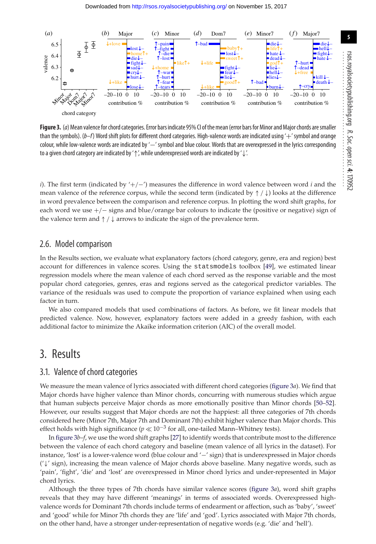<span id="page-4-0"></span>

**Figure 3.** (a) Mean valence for chord categories. Error bars indicate 95% CI of the mean (error bars for Minor and Major chords are smaller than the symbols). ( $b-f$ ) Word shift plots for different chord categories. High-valence words are indicated using ' $+$ ' symbol and orange colour, while low-valence words are indicated by '−' symbol and blue colour. Words that are overexpressed in the lyrics corresponding to a given chord category are indicated by '↑', while underexpressed words are indicated by '↓'.

*i*). The first term (indicated by '+*/*−') measures the difference in word valence between word *i* and the mean valence of the reference corpus, while the second term (indicated by ↑ */* ↓) looks at the difference in word prevalence between the comparison and reference corpus. In plotting the word shift graphs, for each word we use +*/*− signs and blue/orange bar colours to indicate the (positive or negative) sign of the valence term and ↑ */* ↓ arrows to indicate the sign of the prevalence term.

### 2.6. Model comparison

In the Results section, we evaluate what explanatory factors (chord category, genre, era and region) best account for differences in valence scores. Using the statsmodels toolbox [\[49\]](#page-10-3), we estimated linear regression models where the mean valence of each chord served as the response variable and the most popular chord categories, genres, eras and regions served as the categorical predictor variables. The variance of the residuals was used to compute the proportion of variance explained when using each factor in turn.

We also compared models that used combinations of factors. As before, we fit linear models that predicted valence. Now, however, explanatory factors were added in a greedy fashion, with each additional factor to minimize the Akaike information criterion (AIC) of the overall model.

# 3. Results

### 3.1. Valence of chord categories

We measure the mean valence of lyrics associated with different chord categories [\(figure 3](#page-4-0)*a*). We find that Major chords have higher valence than Minor chords, concurring with numerous studies which argue that human subjects perceive Major chords as more emotionally positive than Minor chords [\[50](#page-10-4)[–52\]](#page-10-5). However, our results suggest that Major chords are not the happiest: all three categories of 7th chords considered here (Minor 7th, Major 7th and Dominant 7th) exhibit higher valence than Major chords. This effect holds with high significance ( $p \ll 10^{-3}$  for all, one-tailed Mann–Whitney tests).

In [figure 3](#page-4-0)*b*–*f*, we use the word shift graphs [\[27\]](#page-9-13) to identify words that contribute most to the difference between the valence of each chord category and baseline (mean valence of all lyrics in the dataset). For instance, 'lost' is a lower-valence word (blue colour and '−' sign) that is underexpressed in Major chords ('↓' sign), increasing the mean valence of Major chords above baseline. Many negative words, such as 'pain', 'fight', 'die' and 'lost' are overexpressed in Minor chord lyrics and under-represented in Major chord lyrics.

Although the three types of 7th chords have similar valence scores [\(figure 3](#page-4-0)*a*), word shift graphs reveals that they may have different 'meanings' in terms of associated words. Overexpressed highvalence words for Dominant 7th chords include terms of endearment or affection, such as 'baby', 'sweet' and 'good' while for Minor 7th chords they are 'life' and 'god'. Lyrics associated with Major 7th chords, on the other hand, have a stronger under-representation of negative words (e.g. 'die' and 'hell').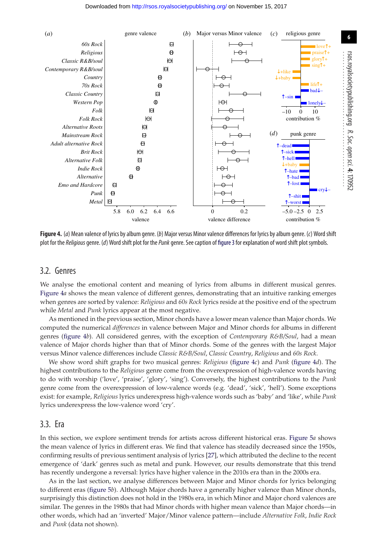<span id="page-5-0"></span>

**Figure 4.** (a) Mean valence of lyrics by album genre. (b) Major versus Minor valence differences for lyrics by album genre. (c) Word shift plot for the Religious genre. (d) Word shift plot for the Punk genre. See caption of [figure 3](#page-4-0) for explanation of word shift plot symbols.

#### 3.2. Genres

We analyse the emotional content and meaning of lyrics from albums in different musical genres. [Figure 4](#page-5-0)*a* shows the mean valence of different genres, demonstrating that an intuitive ranking emerges when genres are sorted by valence: *Religious* and *60s Rock* lyrics reside at the positive end of the spectrum while *Metal* and *Punk* lyrics appear at the most negative.

As mentioned in the previous section, Minor chords have a lower mean valence than Major chords. We computed the numerical *differences* in valence between Major and Minor chords for albums in different genres [\(figure 4](#page-5-0)*b*). All considered genres, with the exception of *Contemporary R&B/Soul*, had a mean valence of Major chords higher than that of Minor chords. Some of the genres with the largest Major versus Minor valence differences include *Classic R&B/Soul*, *Classic Country*, *Religious* and *60s Rock*.

We show word shift graphs for two musical genres: *Religious* [\(figure 4](#page-5-0)*c*) and *Punk* [\(figure 4](#page-5-0)*d*). The highest contributions to the *Religious* genre come from the overexpression of high-valence words having to do with worship ('love', 'praise', 'glory', 'sing'). Conversely, the highest contributions to the *Punk* genre come from the overexpression of low-valence words (e.g. 'dead', 'sick', 'hell'). Some exceptions exist: for example, *Religious* lyrics underexpress high-valence words such as 'baby' and 'like', while *Punk* lyrics underexpress the low-valence word 'cry'.

### 3.3. Era

In this section, we explore sentiment trends for artists across different historical eras. [Figure 5](#page-6-0)*a* shows the mean valence of lyrics in different eras. We find that valence has steadily decreased since the 1950s, confirming results of previous sentiment analysis of lyrics [\[27\]](#page-9-13), which attributed the decline to the recent emergence of 'dark' genres such as metal and punk. However, our results demonstrate that this trend has recently undergone a reversal: lyrics have higher valence in the 2010s era than in the 2000s era.

As in the last section, we analyse differences between Major and Minor chords for lyrics belonging to different eras [\(figure 5](#page-6-0)*b*). Although Major chords have a generally higher valence than Minor chords, surprisingly this distinction does not hold in the 1980s era, in which Minor and Major chord valences are similar. The genres in the 1980s that had Minor chords with higher mean valence than Major chords—in other words, which had an 'inverted' Major/Minor valence pattern—include *Alternative Folk*, *Indie Rock* and *Punk* (data not shown).

rsos.royalsocietypublishing.org

R. Soc.

open

sci. **4**: 170952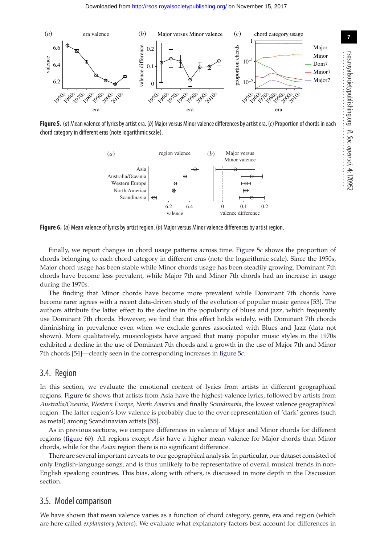<span id="page-6-0"></span>

<span id="page-6-1"></span>**Figure 5.** (a) Mean valence of lyrics by artist era. (b) Major versus Minor valence differences by artist era. (c) Proportion of chords in each chord category in different eras (note logarithmic scale).



**Figure 6.** (a) Mean valence of lyrics by artist region. (b) Major versus Minor valence differences by artist region.

Finally, we report changes in chord usage patterns across time. [Figure 5](#page-6-0)*c* shows the proportion of chords belonging to each chord category in different eras (note the logarithmic scale). Since the 1950s, Major chord usage has been stable while Minor chords usage has been steadily growing. Dominant 7th chords have become less prevalent, while Major 7th and Minor 7th chords had an increase in usage during the 1970s.

The finding that Minor chords have become more prevalent while Dominant 7th chords have become rarer agrees with a recent data-driven study of the evolution of popular music genres [\[53\]](#page-10-6). The authors attribute the latter effect to the decline in the popularity of blues and jazz, which frequently use Dominant 7th chords. However, we find that this effect holds widely, with Dominant 7th chords diminishing in prevalence even when we exclude genres associated with Blues and Jazz (data not shown). More qualitatively, musicologists have argued that many popular music styles in the 1970s exhibited a decline in the use of Dominant 7th chords and a growth in the use of Major 7th and Minor 7th chords [\[54\]](#page-10-7)—clearly seen in the corresponding increases in [figure 5](#page-6-0)*c*.

#### 3.4. Region

In this section, we evaluate the emotional content of lyrics from artists in different geographical regions. [Figure 6](#page-6-1)*a* shows that artists from Asia have the highest-valence lyrics, followed by artists from *Australia/Oceania*, *Western Europe*, *North America* and finally *Scandinavia*, the lowest valence geographical region. The latter region's low valence is probably due to the over-representation of 'dark' genres (such as metal) among Scandinavian artists [\[55\]](#page-10-8).

As in previous sections, we compare differences in valence of Major and Minor chords for different regions [\(figure 6](#page-6-1)*b*). All regions except *Asia* have a higher mean valence for Major chords than Minor chords, while for the *Asian* region there is no significant difference.

There are several important caveats to our geographical analysis. In particular, our dataset consisted of only English-language songs, and is thus unlikely to be representative of overall musical trends in non-English speaking countries. This bias, along with others, is discussed in more depth in the Discussion section.

### 3.5. Model comparison

We have shown that mean valence varies as a function of chord category, genre, era and region (which are here called *explanatory factors*). We evaluate what explanatory factors best account for differences in

**7**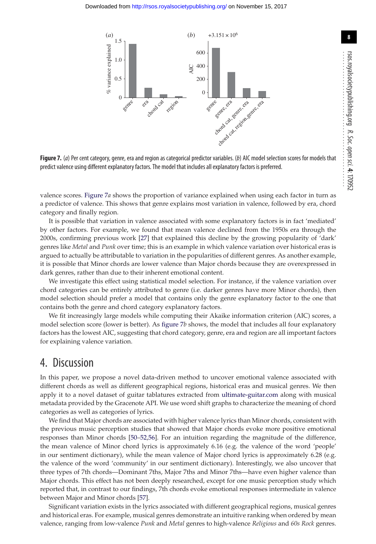<span id="page-7-0"></span>

**Figure 7.** (a) Per cent category, genre, era and region as categorical predictor variables. (b) AIC model selection scores for models that predict valence using different explanatory factors. The model that includes all explanatory factors is preferred.

valence scores. [Figure 7](#page-7-0)*a* shows the proportion of variance explained when using each factor in turn as a predictor of valence. This shows that genre explains most variation in valence, followed by era, chord category and finally region.

It is possible that variation in valence associated with some explanatory factors is in fact 'mediated' by other factors. For example, we found that mean valence declined from the 1950s era through the 2000s, confirming previous work [\[27\]](#page-9-13) that explained this decline by the growing popularity of 'dark' genres like *Metal* and *Punk* over time; this is an example in which valence variation over historical eras is argued to actually be attributable to variation in the popularities of different genres. As another example, it is possible that Minor chords are lower valence than Major chords because they are overexpressed in dark genres, rather than due to their inherent emotional content.

We investigate this effect using statistical model selection. For instance, if the valence variation over chord categories can be entirely attributed to genre (i.e. darker genres have more Minor chords), then model selection should prefer a model that contains only the genre explanatory factor to the one that contains both the genre and chord category explanatory factors.

We fit increasingly large models while computing their Akaike information criterion (AIC) scores, a model selection score (lower is better). As [figure 7](#page-7-0)*b* shows, the model that includes all four explanatory factors has the lowest AIC, suggesting that chord category, genre, era and region are all important factors for explaining valence variation.

# 4. Discussion

In this paper, we propose a novel data-driven method to uncover emotional valence associated with different chords as well as different geographical regions, historical eras and musical genres. We then apply it to a novel dataset of guitar tablatures extracted from [ultimate-guitar.com](http://ultimate-guitar.com) along with musical metadata provided by the Gracenote API. We use word shift graphs to characterize the meaning of chord categories as well as categories of lyrics.

We find that Major chords are associated with higher valence lyrics than Minor chords, consistent with the previous music perception studies that showed that Major chords evoke more positive emotional responses than Minor chords [\[50](#page-10-4)[–52](#page-10-5)[,56\]](#page-10-9). For an intuition regarding the magnitude of the difference, the mean valence of Minor chord lyrics is approximately 6.16 (e.g. the valence of the word 'people' in our sentiment dictionary), while the mean valence of Major chord lyrics is approximately 6.28 (e.g. the valence of the word 'community' in our sentiment dictionary). Interestingly, we also uncover that three types of 7th chords—Dominant 7ths, Major 7ths and Minor 7ths—have even higher valence than Major chords. This effect has not been deeply researched, except for one music perception study which reported that, in contrast to our findings, 7th chords evoke emotional responses intermediate in valence between Major and Minor chords [\[57\]](#page-10-10).

Significant variation exists in the lyrics associated with different geographical regions, musical genres and historical eras. For example, musical genres demonstrate an intuitive ranking when ordered by mean valence, ranging from low-valence *Punk* and *Metal* genres to high-valence *Religious* and *60s Rock* genres.

**8**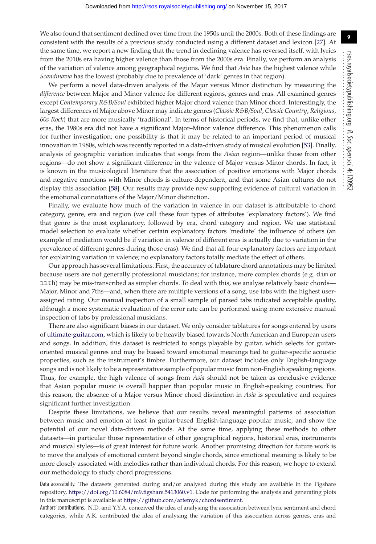We also found that sentiment declined over time from the 1950s until the 2000s. Both of these findings are consistent with the results of a previous study conducted using a different dataset and lexicon [\[27\]](#page-9-13). At the same time, we report a new finding that the trend in declining valence has reversed itself, with lyrics from the 2010s era having higher valence than those from the 2000s era. Finally, we perform an analysis of the variation of valence among geographical regions. We find that *Asia* has the highest valence while *Scandinavia* has the lowest (probably due to prevalence of 'dark' genres in that region).

We perform a novel data-driven analysis of the Major versus Minor distinction by measuring the *difference* between Major and Minor valence for different regions, genres and eras. All examined genres except *Contemporary R&B/Soul* exhibited higher Major chord valence than Minor chord. Interestingly, the largest differences of Major above Minor may indicate genres (*Classic R&B/Soul*, *Classic Country*, *Religious*, *60s Rock*) that are more musically 'traditional'. In terms of historical periods, we find that, unlike other eras, the 1980s era did not have a significant Major–Minor valence difference. This phenomenon calls for further investigation; one possibility is that it may be related to an important period of musical innovation in 1980s, which was recently reported in a data-driven study of musical evolution [\[53\]](#page-10-6). Finally, analysis of geographic variation indicates that songs from the *Asian* region—unlike those from other regions—do not show a significant difference in the valence of Major versus Minor chords. In fact, it is known in the musicological literature that the association of positive emotions with Major chords and negative emotions with Minor chords is culture-dependent, and that some Asian cultures do not display this association [\[58\]](#page-10-11). Our results may provide new supporting evidence of cultural variation in the emotional connotations of the Major/Minor distinction.

Finally, we evaluate how much of the variation in valence in our dataset is attributable to chord category, genre, era and region (we call these four types of attributes 'explanatory factors'). We find that genre is the most explanatory, followed by era, chord category and region. We use statistical model selection to evaluate whether certain explanatory factors 'mediate' the influence of others (an example of mediation would be if variation in valence of different eras is actually due to variation in the prevalence of different genres during those eras). We find that all four explanatory factors are important for explaining variation in valence; no explanatory factors totally mediate the effect of others.

Our approach has several limitations. First, the accuracy of tablature chord annotations may be limited because users are not generally professional musicians; for instance, more complex chords (e.g. dim or 11th) may be mis-transcribed as simpler chords. To deal with this, we analyse relatively basic chords— Major, Minor and 7ths—and, when there are multiple versions of a song, use tabs with the highest userassigned rating. Our manual inspection of a small sample of parsed tabs indicated acceptable quality, although a more systematic evaluation of the error rate can be performed using more extensive manual inspection of tabs by professional musicians.

There are also significant biases in our dataset. We only consider tablatures for songs entered by users of [ultimate-guitar.com,](http://ultimate-guitar.com) which is likely to be heavily biased towards North American and European users and songs. In addition, this dataset is restricted to songs playable by guitar, which selects for guitaroriented musical genres and may be biased toward emotional meanings tied to guitar-specific acoustic properties, such as the instrument's timbre. Furthermore, our dataset includes only English-language songs and is not likely to be a representative sample of popular music from non-English speaking regions. Thus, for example, the high valence of songs from *Asia* should not be taken as conclusive evidence that Asian popular music is overall happier than popular music in English-speaking countries. For this reason, the absence of a Major versus Minor chord distinction in *Asia* is speculative and requires significant further investigation.

Despite these limitations, we believe that our results reveal meaningful patterns of association between music and emotion at least in guitar-based English-language popular music, and show the potential of our novel data-driven methods. At the same time, applying these methods to other datasets—in particular those representative of other geographical regions, historical eras, instruments and musical styles—is of great interest for future work. Another promising direction for future work is to move the analysis of emotional content beyond single chords, since emotional meaning is likely to be more closely associated with melodies rather than individual chords. For this reason, we hope to extend our methodology to study chord progressions.

Data accessibility. The datasets generated during and/or analysed during this study are available in the Figshare repository, [https://doi.org/10.6084/m9.figshare.5413060.v1.](https://doi.org/10.6084/m9.figshare.5413060.v1) Code for performing the analysis and generating plots in this manuscript is available at [https://github.com/artemyk/chordsentiment.](https://github.com/artemyk/chordsentiment)

Authors' contributions. N.D. and Y.Y.A. conceived the idea of analysing the association between lyric sentiment and chord categories, while A.K. contributed the idea of analysing the variation of this association across genres, eras and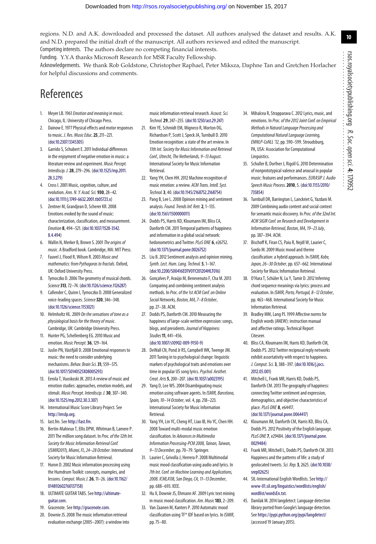**10**

regions. N.D. and A.K. downloaded and processed the dataset. All authors analysed the dataset and results. A.K. and N.D. prepared the initial draft of the manuscript. All authors reviewed and edited the manuscript. Competing interests. The authors declare no competing financial interests.

Funding. Y.Y.A thanks Microsoft Research for MSR Faculty Fellowship.

Acknowledgements. We thank Rob Goldstone, Christopher Raphael, Peter Miksza, Daphne Tan and Gretchen Horlacher for helpful discussions and comments.

# References

- <span id="page-9-0"></span>1. Meyer LB. 1961 Emotion and meaning in music. Chicago, IL: University of Chicago Press.
- 2. Dainow E. 1977 Physical effects and motor responses to music. J. Res. Music Educ.**25**, 211–221. [\(doi:10.2307/3345305\)](http://dx.doi.org/doi:10.2307/3345305)
- 3. Garrido S, Schubert E. 2011 Individual differences in the enjoyment of negative emotion in music: a literature review and experiment. Music Percept. Interdiscip. J.**28**, 279–296. [\(doi:10.1525/mp.2011.](http://dx.doi.org/doi:10.1525/mp.2011.28.3.279) [28.3.279\)](http://dx.doi.org/doi:10.1525/mp.2011.28.3.279)
- 4. Cross I. 2001 Music, cognition, culture, and evolution. Ann. N. Y. Acad. Sci. **930**, 28–42. [\(doi:10.1111/j.1749-6632.2001.tb05723.x\)](http://dx.doi.org/doi:10.1111/j.1749-6632.2001.tb05723.x)
- <span id="page-9-1"></span>5. Zentner M, Grandjean D, Scherer KR. 2008 Emotions evoked by the sound of music: characterization, classification, and measurement. Emotion **8**, 494–521. [\(doi:10.1037/1528-3542.](http://dx.doi.org/doi:10.1037/1528-3542.8.4.494) [8.4.494\)](http://dx.doi.org/doi:10.1037/1528-3542.8.4.494)
- <span id="page-9-2"></span>6. Wallin N, Merker B, Brown S. 2001 The origins of music. A Bradford book. Cambridge, MA: MIT Press.
- <span id="page-9-3"></span>7. Fauvel J, Flood R, Wilson R. 2003 Music and mathematics: from Pythagoras to fractals. Oxford, UK: Oxford University Press.
- 8. Tymoczko D. 2006 The geometry of musical chords. Science**313**, 72–74. [\(doi:10.1126/science.1126287\)](http://dx.doi.org/doi:10.1126/science.1126287)
- 9. Callender C, Quinn I, Tymoczko D. 2008 Generalized voice-leading spaces. Science 320, 346-348. [\(doi:10.1126/science.1153021\)](http://dx.doi.org/doi:10.1126/science.1153021)
- <span id="page-9-4"></span>10. Helmholtz HL. 2009 On the sensations of tone as a physiological basis for the theory of music. Cambridge, UK: Cambridge University Press.
- <span id="page-9-5"></span>11. Hunter PG, Schellenberg EG. 2010 Music and emotion. Music Percept.**36**, 129–164.
- 12. Juslin PN, Västfjäll D. 2008 Emotional responses to music: the need to consider underlying mechanisms. Behav. Brain Sci.**31**, 559–575. [\(doi:10.1017/S0140525X08005293\)](http://dx.doi.org/doi:10.1017/S0140525X08005293)
- <span id="page-9-6"></span>13. Eerola T, Vuoskoski JK. 2013 A review of music and emotion studies: approaches, emotion models, and stimuli. Music Percept. Interdiscip. J.**30**, 307–340. [\(doi:10.1525/mp.2012.30.3.307\)](http://dx.doi.org/doi:10.1525/mp.2012.30.3.307)
- <span id="page-9-7"></span>14. International Music Score Library Project. See [http://imslp.org.](http://imslp.org)
- 15. last.fm. See [http://last.fm.](http://last.fm)
- 16. Bertin-Mahieux T, Ellis DPW, Whitman B, Lamere P. 2011 The million song dataset. In Proc. of the 12th Int. Society for Music Information Retrieval Conf. (ISMIR2011), Miami, FL, 24–28 October. International Society for Music Information Retrieval.
- 17. Huron D. 2002 Music information processing using the Humdrum Toolkit: concepts, examples, and lessons.Comput. Music J.**26**, 11–26. [\(doi:10.1162/](http://dx.doi.org/doi:10.1162/014892602760137158) [014892602760137158\)](http://dx.doi.org/doi:10.1162/014892602760137158)
- <span id="page-9-25"></span>18. ULTIMATE GUITAR TABS. See [http://ultimate](http://ultimate-guitar.com)[guitar.com.](http://ultimate-guitar.com)
- <span id="page-9-9"></span><span id="page-9-8"></span>19. Gracenote. See [http://gracenote.com.](http://gracenote.com)
- 20. Downie JS. 2008 The music information retrieval evaluation exchange (2005–2007): a window into

music information retrieval research. Acoust. Sci. Technol.**29**, 247–255. [\(doi:10.1250/ast.29.247\)](http://dx.doi.org/doi:10.1250/ast.29.247)

- 21. Kim YE, Schmidt EM, Migneco R, Morton OG, Richardson P, Scott J, Speck JA, Turnbull D. 2010 Emotion recognition: a state of the art review. In 11th Int. Society for Music Information and Retrieval Conf., Utrecht, The Netherlands, 9–13 August. International Society for Music Information **Retrieval**
- <span id="page-9-10"></span>22. Yang YH, Chen HH. 2012 Machine recognition of music emotion: a review. ACM Trans. Intell. Syst. Technol.**3**, 40. [\(doi:10.1145/2168752.2168754\)](http://dx.doi.org/doi:10.1145/2168752.2168754)
- <span id="page-9-11"></span>23. Pang B, Lee L. 2008 Opinion mining and sentiment analysis.Found. Trends Inf. Retr.**2**, 1–135. [\(doi:10.1561/1500000011\)](http://dx.doi.org/doi:10.1561/1500000011)
- <span id="page-9-21"></span>24. Dodds PS, Harris KD, Kloumann IM, Bliss CA, Danforth CM. 2011 Temporal patterns of happiness and information in a global social network: hedonometrics and Twitter. PLoS ONE 6, e26752. [\(doi:10.1371/journal.pone.0026752\)](http://dx.doi.org/doi:10.1371/journal.pone.0026752)
- 25. Liu B. 2012 Sentiment analysis and opinion mining. Synth. Lect. Hum. Lang. Technol.**5**, 1–167. [\(doi:10.2200/S00416ED1V01Y201204HLT016\)](http://dx.doi.org/doi:10.2200/S00416ED1V01Y201204HLT016)
- <span id="page-9-12"></span>26. Gonçalves P, Araújo M, Benevenuto F, Cha M. 2013 Comparing and combining sentiment analysis methods. In Proc. of the 1st ACM Conf. on Online Social Networks, Boston, MA, 7–8 October, pp. 27–38. ACM.
- <span id="page-9-13"></span>27. Dodds PS, Danforth CM. 2010 Measuring the happiness of large-scale written expression: songs, blogs, and presidents. Journal of Happiness Studies**11**, 441–456. [\(doi:10.1007/s10902-009-9150-9\)](http://dx.doi.org/doi:10.1007/s10902-009-9150-9)
- <span id="page-9-14"></span>28. DeWall CN, Pond Jr RS, Campbell WK, Twenge JM. 2011 Tuning in to psychological change: linguistic markers of psychological traits and emotions over time in popular US song lyrics. Psychol. Aesthet. Creat. Arts**5**, 200–207. [\(doi:10.1037/a0023195\)](http://dx.doi.org/doi:10.1037/a0023195)
- <span id="page-9-15"></span>29. Yang D, Lee WS. 2004 Disambiguating music emotion using software agents. In ISMIR, Barcelona, Spain, 10–14 October, vol. 4, pp. 218–223. International Society for Music Information Retrieval.
- 30. Yang YH, Lin YC, Cheng HT, Liao IB, Ho YC, Chen HH. 2008 Toward multi-modal music emotion classification. In Advances in Multimedia Information Processing-PCM 2008, Tainan, Taiwan, 9–13 December, pp. 70–79. Springer.
- 31. Laurier C, Grivolla J, Herrera P. 2008 Multimodal music mood classification using audio and lyrics. In 7th Int. Conf. on Machine Learning and Applications, 2008. ICMLA'08, San Diego, CA, 11–13 December, pp. 688–693. IEEE.
- 32. Hu X, Downie JS, Ehmann AF. 2009 Lyric text mining in music mood classification. Am. Music 183, 2-209.
- 33. Van Zaanen M, Kanters P. 2010 Automatic mood classification using TF\* IDF based on lyrics. In ISMIR, pp. 75–80.
- <span id="page-9-16"></span>34. Mihalcea R, Strapparava C. 2012 Lyrics, music, and emotions. In Proc. of the 2012 Joint Conf. on Empirical Methods in Natural Language Processing and Computational Natural Language Learning, EMNLP-CoNLL '12, pp. 590–599. Stroudsburg, PA, USA: Association for Computational Linguistics.
- <span id="page-9-17"></span>35. Schuller B, Dorfner J, Rigoll G. 2010 Determination of nonprototypical valence and arousal in popular music: features and performances. EURASIP J. Audio Speech Music Process.**2010**, 5. [\(doi:10.1155/2010/](http://dx.doi.org/doi:10.1155/2010/735854) [735854\)](http://dx.doi.org/doi:10.1155/2010/735854)
- <span id="page-9-18"></span>36. Turnbull DR, Barrington L, Lanckriet G, Yazdani M. 2009 Combining audio content and social context for semantic music discovery. In Proc. of the 32nd Int. ACM SIGIR Conf. on Research and Development in Information Retrieval, Boston, MA, 19–23 July, pp. 387–394. ACM.
- <span id="page-9-19"></span>37. Bischoff K, Firan CS, Paiu R, Nejdl W, Laurier C, Sordo M. 2009 Music mood and theme classification: a hybrid approach. In ISMIR, Kobe, Japan, 26–30 October, pp. 657–662. International Society for Music Information Retrieval.
- <span id="page-9-20"></span>38. O'Hara T, Schüler N, Lu Y, Tamir D. 2012 Inferring chord sequence meanings via lyrics: process and evaluation. In ISMIR, Porto, Portugal, 8–12 October, pp. 463–468. International Society for Music Information Retrieval.
- <span id="page-9-22"></span>39. Bradley MM, Lang PJ. 1999 Affective norms for English words (ANEW): instruction manual and affective ratings. Technical Report **Citeseer**
- <span id="page-9-23"></span>40. Bliss CA, Kloumann IM, Harris KD, Danforth CM, Dodds PS. 2012 Twitter reciprocal reply networks exhibit assortativity with respect to happiness. J. Comput. Sci.**3**, 388–397. [\(doi:10.1016/j.jocs.](http://dx.doi.org/doi:10.1016/j.jocs.2012.05.001) [2012.05.001\)](http://dx.doi.org/doi:10.1016/j.jocs.2012.05.001)
- <span id="page-9-28"></span>41. Mitchell L, Frank MR, Harris KD, Dodds PS, Danforth CM. 2013 The geography of happiness: connecting Twitter sentiment and expression, demographics, and objective characteristics of place.PLoS ONE **8**, e64417. [\(doi:10.1371/journal.pone.0064417\)](http://dx.doi.org/doi:10.1371/journal.pone.0064417)
- 42. Kloumann IM, Danforth CM, Harris KD, Bliss CA, Dodds PS. 2012 Positivity of the English language. PLoS ONE **7**, e29484. [\(doi:10.1371/journal.pone.](http://dx.doi.org/doi:10.1371/journal.pone.0029484) [0029484\)](http://dx.doi.org/doi:10.1371/journal.pone.0029484)
- <span id="page-9-24"></span>43. Frank MR, Mitchell L, Dodds PS, Danforth CM. 2013 Happiness and the patterns of life: a study of geolocated tweets.Sci. Rep.**3**, 2625. [\(doi:10.1038/](http://dx.doi.org/doi:10.1038/srep02625) [srep02625\)](http://dx.doi.org/doi:10.1038/srep02625)
- <span id="page-9-26"></span>44. SIL-International English Wordlists. See [http://](http://www-01.sil.org/linguistics/wordlists/english/wordlist/wordsEn.txt) [www-01.sil.org/linguistics/wordlists/english/](http://www-01.sil.org/linguistics/wordlists/english/wordlist/wordsEn.txt) [wordlist/wordsEn.txt.](http://www-01.sil.org/linguistics/wordlists/english/wordlist/wordsEn.txt)
- <span id="page-9-27"></span>45. Danilak M. 2014 langdetect: Language detection library ported from Google's language detection. See <https://pypi.python.org/pypi/langdetect/> (accessed 19 January 2015).